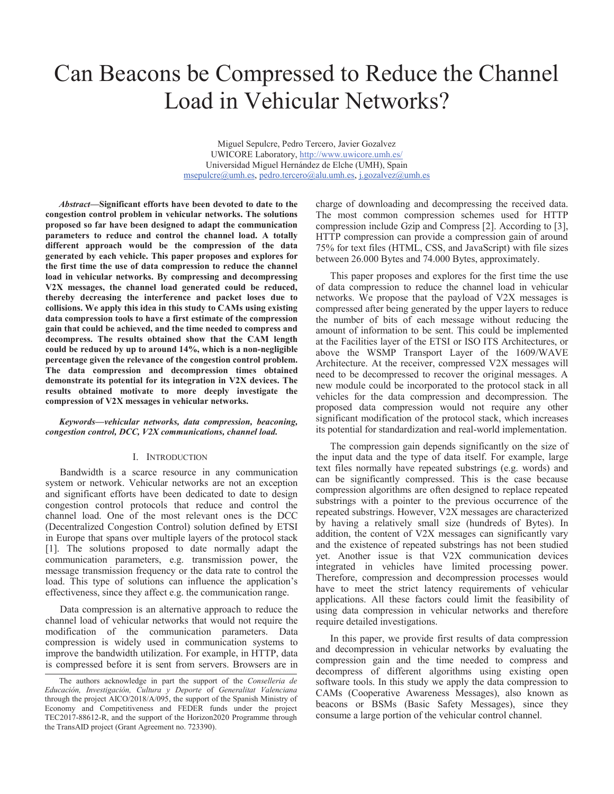# Can Beacons be Compressed to Reduce the Channel Load in Vehicular Networks?

Miguel Sepulcre, Pedro Tercero, Javier Gozalvez UWICORE Laboratory, http://www.uwicore.umh.es/ Universidad Miguel Hernández de Elche (UMH), Spain msepulcre@umh.es, pedro.tercero@alu.umh.es, j.gozalvez@umh.es

*Abstract***—Significant efforts have been devoted to date to the congestion control problem in vehicular networks. The solutions proposed so far have been designed to adapt the communication parameters to reduce and control the channel load. A totally different approach would be the compression of the data generated by each vehicle. This paper proposes and explores for the first time the use of data compression to reduce the channel load in vehicular networks. By compressing and decompressing V2X messages, the channel load generated could be reduced, thereby decreasing the interference and packet loses due to collisions. We apply this idea in this study to CAMs using existing data compression tools to have a first estimate of the compression gain that could be achieved, and the time needed to compress and decompress. The results obtained show that the CAM length could be reduced by up to around 14%, which is a non-negligible percentage given the relevance of the congestion control problem. The data compression and decompression times obtained demonstrate its potential for its integration in V2X devices. The results obtained motivate to more deeply investigate the compression of V2X messages in vehicular networks.** 

# *Keywords—vehicular networks, data compression, beaconing, congestion control, DCC, V2X communications, channel load.*

# I. INTRODUCTION

Bandwidth is a scarce resource in any communication system or network. Vehicular networks are not an exception and significant efforts have been dedicated to date to design congestion control protocols that reduce and control the channel load. One of the most relevant ones is the DCC (Decentralized Congestion Control) solution defined by ETSI in Europe that spans over multiple layers of the protocol stack [1]. The solutions proposed to date normally adapt the communication parameters, e.g. transmission power, the message transmission frequency or the data rate to control the load. This type of solutions can influence the application's effectiveness, since they affect e.g. the communication range.

Data compression is an alternative approach to reduce the channel load of vehicular networks that would not require the modification of the communication parameters. Data compression is widely used in communication systems to improve the bandwidth utilization. For example, in HTTP, data is compressed before it is sent from servers. Browsers are in charge of downloading and decompressing the received data. The most common compression schemes used for HTTP compression include Gzip and Compress [2]. According to [3], HTTP compression can provide a compression gain of around 75% for text files (HTML, CSS, and JavaScript) with file sizes between 26.000 Bytes and 74.000 Bytes, approximately.

This paper proposes and explores for the first time the use of data compression to reduce the channel load in vehicular networks. We propose that the payload of V2X messages is compressed after being generated by the upper layers to reduce the number of bits of each message without reducing the amount of information to be sent. This could be implemented at the Facilities layer of the ETSI or ISO ITS Architectures, or above the WSMP Transport Layer of the 1609/WAVE Architecture. At the receiver, compressed V2X messages will need to be decompressed to recover the original messages. A new module could be incorporated to the protocol stack in all vehicles for the data compression and decompression. The proposed data compression would not require any other significant modification of the protocol stack, which increases its potential for standardization and real-world implementation.

The compression gain depends significantly on the size of the input data and the type of data itself. For example, large text files normally have repeated substrings (e.g. words) and can be significantly compressed. This is the case because compression algorithms are often designed to replace repeated substrings with a pointer to the previous occurrence of the repeated substrings. However, V2X messages are characterized by having a relatively small size (hundreds of Bytes). In addition, the content of V2X messages can significantly vary and the existence of repeated substrings has not been studied yet. Another issue is that V2X communication devices integrated in vehicles have limited processing power. Therefore, compression and decompression processes would have to meet the strict latency requirements of vehicular applications. All these factors could limit the feasibility of using data compression in vehicular networks and therefore require detailed investigations.

In this paper, we provide first results of data compression and decompression in vehicular networks by evaluating the compression gain and the time needed to compress and decompress of different algorithms using existing open software tools. In this study we apply the data compression to CAMs (Cooperative Awareness Messages), also known as beacons or BSMs (Basic Safety Messages), since they consume a large portion of the vehicular control channel.

The authors acknowledge in part the support of the *Conselleria de Educación, Investigación, Cultura y Deporte* of *Generalitat Valenciana* through the project AICO/2018/A/095, the support of the Spanish Ministry of Economy and Competitiveness and FEDER funds under the project TEC2017-88612-R, and the support of the Horizon2020 Programme through the TransAID project (Grant Agreement no. 723390).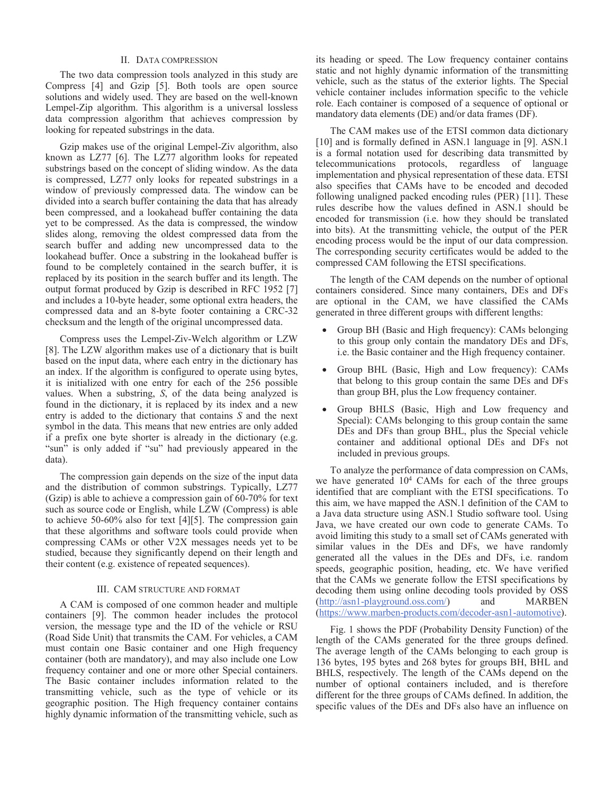# II. DATA COMPRESSION

The two data compression tools analyzed in this study are Compress [4] and Gzip [5]. Both tools are open source solutions and widely used. They are based on the well-known Lempel-Zip algorithm. This algorithm is a universal lossless data compression algorithm that achieves compression by looking for repeated substrings in the data.

Gzip makes use of the original Lempel-Ziv algorithm, also known as LZ77 [6]. The LZ77 algorithm looks for repeated substrings based on the concept of sliding window. As the data is compressed, LZ77 only looks for repeated substrings in a window of previously compressed data. The window can be divided into a search buffer containing the data that has already been compressed, and a lookahead buffer containing the data yet to be compressed. As the data is compressed, the window slides along, removing the oldest compressed data from the search buffer and adding new uncompressed data to the lookahead buffer. Once a substring in the lookahead buffer is found to be completely contained in the search buffer, it is replaced by its position in the search buffer and its length. The output format produced by Gzip is described in RFC 1952 [7] and includes a 10-byte header, some optional extra headers, the compressed data and an 8-byte footer containing a CRC-32 checksum and the length of the original uncompressed data.

Compress uses the Lempel-Ziv-Welch algorithm or LZW [8]. The LZW algorithm makes use of a dictionary that is built based on the input data, where each entry in the dictionary has an index. If the algorithm is configured to operate using bytes, it is initialized with one entry for each of the 256 possible values. When a substring, *S*, of the data being analyzed is found in the dictionary, it is replaced by its index and a new entry is added to the dictionary that contains *S* and the next symbol in the data. This means that new entries are only added if a prefix one byte shorter is already in the dictionary (e.g. "sun" is only added if "su" had previously appeared in the data).

The compression gain depends on the size of the input data and the distribution of common substrings. Typically, LZ77 (Gzip) is able to achieve a compression gain of 60-70% for text such as source code or English, while LZW (Compress) is able to achieve 50-60% also for text [4][5]. The compression gain that these algorithms and software tools could provide when compressing CAMs or other V2X messages needs yet to be studied, because they significantly depend on their length and their content (e.g. existence of repeated sequences).

# III. CAM STRUCTURE AND FORMAT

A CAM is composed of one common header and multiple containers [9]. The common header includes the protocol version, the message type and the ID of the vehicle or RSU (Road Side Unit) that transmits the CAM. For vehicles, a CAM must contain one Basic container and one High frequency container (both are mandatory), and may also include one Low frequency container and one or more other Special containers. The Basic container includes information related to the transmitting vehicle, such as the type of vehicle or its geographic position. The High frequency container contains highly dynamic information of the transmitting vehicle, such as its heading or speed. The Low frequency container contains static and not highly dynamic information of the transmitting vehicle, such as the status of the exterior lights. The Special vehicle container includes information specific to the vehicle role. Each container is composed of a sequence of optional or mandatory data elements (DE) and/or data frames (DF).

The CAM makes use of the ETSI common data dictionary [10] and is formally defined in ASN.1 language in [9]. ASN.1 is a formal notation used for describing data transmitted by telecommunications protocols, regardless of language implementation and physical representation of these data. ETSI also specifies that CAMs have to be encoded and decoded following unaligned packed encoding rules (PER) [11]. These rules describe how the values defined in ASN.1 should be encoded for transmission (i.e. how they should be translated into bits). At the transmitting vehicle, the output of the PER encoding process would be the input of our data compression. The corresponding security certificates would be added to the compressed CAM following the ETSI specifications.

The length of the CAM depends on the number of optional containers considered. Since many containers, DEs and DFs are optional in the CAM, we have classified the CAMs generated in three different groups with different lengths:

- Group BH (Basic and High frequency): CAMs belonging to this group only contain the mandatory DEs and DFs, i.e. the Basic container and the High frequency container.
- Group BHL (Basic, High and Low frequency): CAMs that belong to this group contain the same DEs and DFs than group BH, plus the Low frequency container.
- Group BHLS (Basic, High and Low frequency and Special): CAMs belonging to this group contain the same DEs and DFs than group BHL, plus the Special vehicle container and additional optional DEs and DFs not included in previous groups.

To analyze the performance of data compression on CAMs, we have generated 10<sup>4</sup> CAMs for each of the three groups identified that are compliant with the ETSI specifications. To this aim, we have mapped the ASN.1 definition of the CAM to a Java data structure using ASN.1 Studio software tool. Using Java, we have created our own code to generate CAMs. To avoid limiting this study to a small set of CAMs generated with similar values in the DEs and DFs, we have randomly generated all the values in the DEs and DFs, i.e. random speeds, geographic position, heading, etc. We have verified that the CAMs we generate follow the ETSI specifications by decoding them using online decoding tools provided by OSS (http://asn1-playground.oss.com/) and MARBEN (https://www.marben-products.com/decoder-asn1-automotive).

Fig. 1 shows the PDF (Probability Density Function) of the length of the CAMs generated for the three groups defined. The average length of the CAMs belonging to each group is 136 bytes, 195 bytes and 268 bytes for groups BH, BHL and BHLS, respectively. The length of the CAMs depend on the number of optional containers included, and is therefore different for the three groups of CAMs defined. In addition, the specific values of the DEs and DFs also have an influence on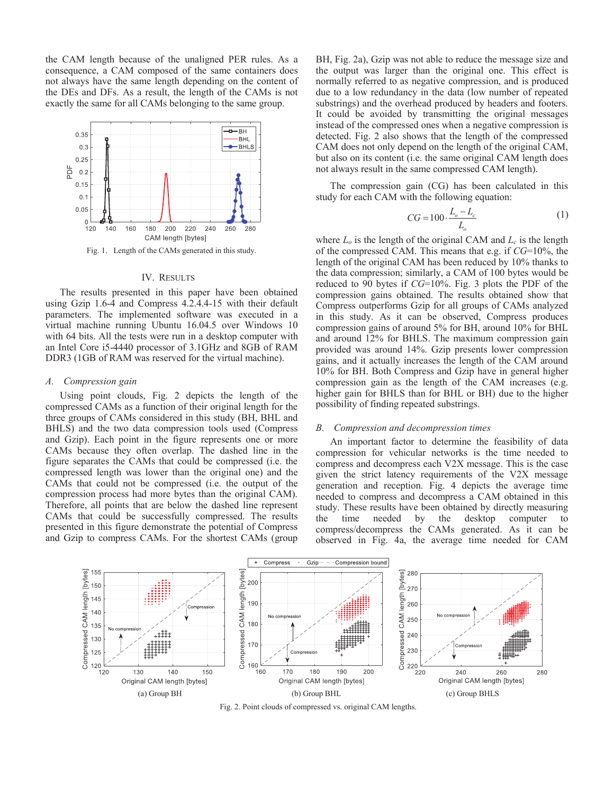the CAM length because of the unaligned PER rules. As a consequence, a CAM composed of the same containers does not always have the same length depending on the content of the DEs and DFs. As a result, the length of the CAMs is not exactly the same for all CAMs belonging to the same group.



Fig. 1. Length of the CAMs generated in this study.

#### IV. RESULTS

The results presented in this paper have been obtained using Gzip 1.6-4 and Compress 4.2.4.4-15 with their default parameters. The implemented software was executed in a virtual machine running Ubuntu 16.04.5 over Windows 10 with 64 bits. All the tests were run in a desktop computer with an Intel Core i5-4440 processor of 3.1GHz and 8GB of RAM DDR3 (1GB of RAM was reserved for the virtual machine).

# *A. Compression gain*

Using point clouds, Fig. 2 depicts the length of the compressed CAMs as a function of their original length for the three groups of CAMs considered in this study (BH, BHL and BHLS) and the two data compression tools used (Compress and Gzip). Each point in the figure represents one or more CAMs because they often overlap. The dashed line in the figure separates the CAMs that could be compressed (i.e. the compressed length was lower than the original one) and the CAMs that could not be compressed (i.e. the output of the compression process had more bytes than the original CAM). Therefore, all points that are below the dashed line represent CAMs that could be successfully compressed. The results presented in this figure demonstrate the potential of Compress and Gzip to compress CAMs. For the shortest CAMs (group

BH, Fig. 2a), Gzip was not able to reduce the message size and the output was larger than the original one. This effect is normally referred to as negative compression, and is produced due to a low redundancy in the data (low number of repeated substrings) and the overhead produced by headers and footers. It could be avoided by transmitting the original messages instead of the compressed ones when a negative compression is detected. Fig. 2 also shows that the length of the compressed CAM does not only depend on the length of the original CAM, but also on its content (i.e. the same original CAM length does not always result in the same compressed CAM length).

The compression gain (CG) has been calculated in this study for each CAM with the following equation:

$$
CG = 100 \cdot \frac{L_o - L_c}{L_o} \tag{1}
$$

where  $L_0$  is the length of the original CAM and  $L_c$  is the length of the compressed CAM. This means that e.g. if *CG*=10%, the length of the original CAM has been reduced by 10% thanks to the data compression; similarly, a CAM of 100 bytes would be reduced to 90 bytes if *CG*=10%. Fig. 3 plots the PDF of the compression gains obtained. The results obtained show that Compress outperforms Gzip for all groups of CAMs analyzed in this study. As it can be observed, Compress produces compression gains of around 5% for BH, around 10% for BHL and around 12% for BHLS. The maximum compression gain provided was around 14%. Gzip presents lower compression gains, and it actually increases the length of the CAM around 10% for BH. Both Compress and Gzip have in general higher compression gain as the length of the CAM increases (e.g. higher gain for BHLS than for BHL or BH) due to the higher possibility of finding repeated substrings.

### *B. Compression and decompression times*

An important factor to determine the feasibility of data compression for vehicular networks is the time needed to compress and decompress each V2X message. This is the case given the strict latency requirements of the V2X message generation and reception. Fig. 4 depicts the average time needed to compress and decompress a CAM obtained in this study. These results have been obtained by directly measuring the time needed by the desktop computer to compress/decompress the CAMs generated. As it can be observed in Fig. 4a, the average time needed for CAM



Fig. 2. Point clouds of compressed vs. original CAM lengths.